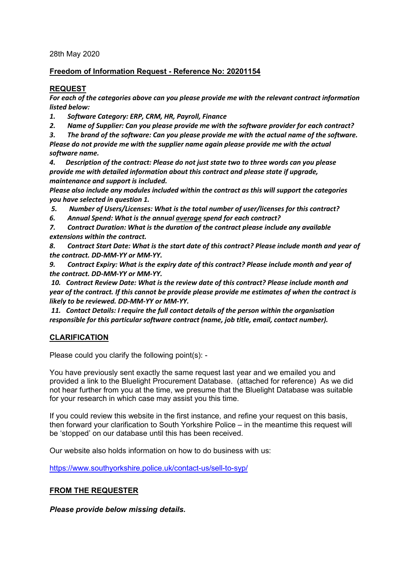28th May 2020

### **Freedom of Information Request - Reference No: 20201154**

## **REQUEST**

*For each of the categories above can you please provide me with the relevant contract information listed below:*

*1. Software Category: ERP, CRM, HR, Payroll, Finance*

*2. Name of Supplier: Can you please provide me with the software provider for each contract?*

*3. The brand of the software: Can you please provide me with the actual name of the software. Please do not provide me with the supplier name again please provide me with the actual software name.*

*4. Description of the contract: Please do not just state two to three words can you please provide me with detailed information about this contract and please state if upgrade, maintenance and support is included.*

*Please also include any modules included within the contract as this will support the categories you have selected in question 1.*

*5. Number of Users/Licenses: What is the total number of user/licenses for this contract?*

*6. Annual Spend: What is the annual average spend for each contract?*

*7. Contract Duration: What is the duration of the contract please include any available extensions within the contract.*

*8. Contract Start Date: What is the start date of this contract? Please include month and year of the contract. DD-MM-YY or MM-YY.*

*9. Contract Expiry: What is the expiry date of this contract? Please include month and year of the contract. DD-MM-YY or MM-YY.*

*10. Contract Review Date: What is the review date of this contract? Please include month and year of the contract. If this cannot be provide please provide me estimates of when the contract is likely to be reviewed. DD-MM-YY or MM-YY.*

*11. Contact Details: I require the full contact details of the person within the organisation responsible for this particular software contract (name, job title, email, contact number).*

# **CLARIFICATION**

Please could you clarify the following point(s): -

You have previously sent exactly the same request last year and we emailed you and provided a link to the Bluelight Procurement Database. (attached for reference) As we did not hear further from you at the time, we presume that the Bluelight Database was suitable for your research in which case may assist you this time.

If you could review this website in the first instance, and refine your request on this basis, then forward your clarification to South Yorkshire Police – in the meantime this request will be 'stopped' on our database until this has been received.

Our website also holds information on how to do business with us:

<https://www.southyorkshire.police.uk/contact-us/sell-to-syp/>

### **FROM THE REQUESTER**

*Please provide below missing details.*